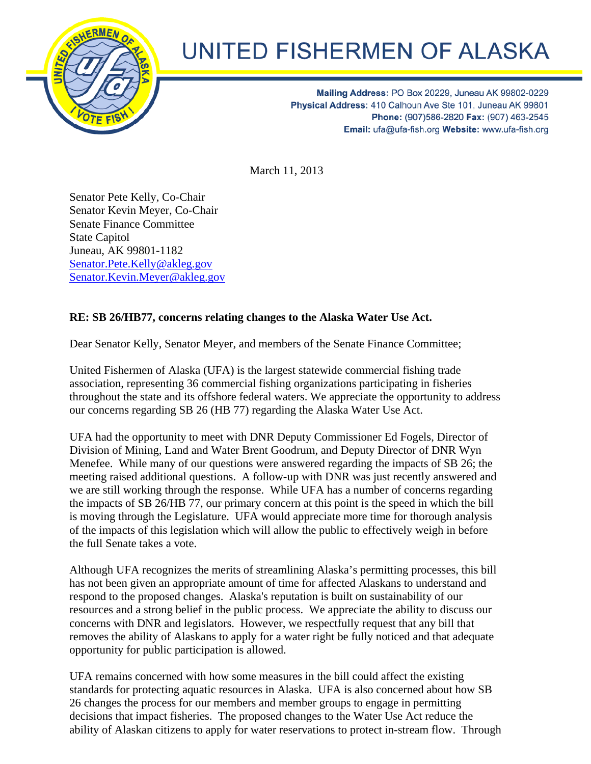

## UNITED FISHERMEN OF ALASKA

Mailing Address: PO Box 20229, Juneau AK 99802-0229 Physical Address: 410 Calhoun Ave Ste 101, Juneau AK 99801 Phone: (907)586-2820 Fax: (907) 463-2545 Email: ufa@ufa-fish.org Website: www.ufa-fish.org

March 11, 2013

Senator Pete Kelly, Co-Chair Senator Kevin Meyer, Co-Chair Senate Finance Committee State Capitol Juneau, AK 99801-1182 Senator.Pete.Kelly@akleg.gov Senator.Kevin.Meyer@akleg.gov

## **RE: SB 26/HB77, concerns relating changes to the Alaska Water Use Act.**

Dear Senator Kelly, Senator Meyer, and members of the Senate Finance Committee;

United Fishermen of Alaska (UFA) is the largest statewide commercial fishing trade association, representing 36 commercial fishing organizations participating in fisheries throughout the state and its offshore federal waters. We appreciate the opportunity to address our concerns regarding SB 26 (HB 77) regarding the Alaska Water Use Act.

UFA had the opportunity to meet with DNR Deputy Commissioner Ed Fogels, Director of Division of Mining, Land and Water Brent Goodrum, and Deputy Director of DNR Wyn Menefee. While many of our questions were answered regarding the impacts of SB 26; the meeting raised additional questions. A follow-up with DNR was just recently answered and we are still working through the response. While UFA has a number of concerns regarding the impacts of SB 26/HB 77, our primary concern at this point is the speed in which the bill is moving through the Legislature. UFA would appreciate more time for thorough analysis of the impacts of this legislation which will allow the public to effectively weigh in before the full Senate takes a vote.

Although UFA recognizes the merits of streamlining Alaska's permitting processes, this bill has not been given an appropriate amount of time for affected Alaskans to understand and respond to the proposed changes. Alaska's reputation is built on sustainability of our resources and a strong belief in the public process. We appreciate the ability to discuss our concerns with DNR and legislators. However, we respectfully request that any bill that removes the ability of Alaskans to apply for a water right be fully noticed and that adequate opportunity for public participation is allowed.

UFA remains concerned with how some measures in the bill could affect the existing standards for protecting aquatic resources in Alaska. UFA is also concerned about how SB 26 changes the process for our members and member groups to engage in permitting decisions that impact fisheries. The proposed changes to the Water Use Act reduce the ability of Alaskan citizens to apply for water reservations to protect in-stream flow. Through